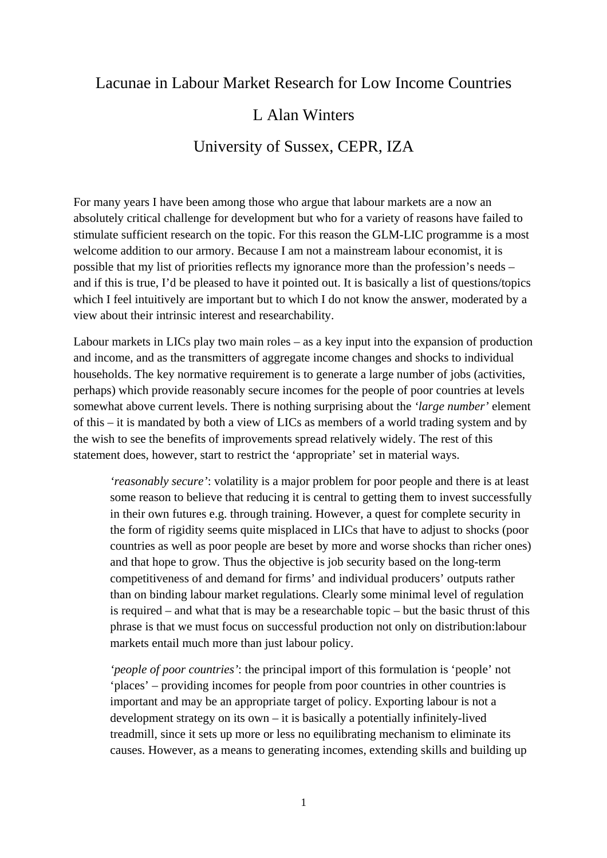### Lacunae in Labour Market Research for Low Income Countries

## L Alan Winters

# University of Sussex, CEPR, IZA

For many years I have been among those who argue that labour markets are a now an absolutely critical challenge for development but who for a variety of reasons have failed to stimulate sufficient research on the topic. For this reason the GLM-LIC programme is a most welcome addition to our armory. Because I am not a mainstream labour economist, it is possible that my list of priorities reflects my ignorance more than the profession's needs – and if this is true, I'd be pleased to have it pointed out. It is basically a list of questions/topics which I feel intuitively are important but to which I do not know the answer, moderated by a view about their intrinsic interest and researchability.

Labour markets in LICs play two main roles – as a key input into the expansion of production and income, and as the transmitters of aggregate income changes and shocks to individual households. The key normative requirement is to generate a large number of jobs (activities, perhaps) which provide reasonably secure incomes for the people of poor countries at levels somewhat above current levels. There is nothing surprising about the *'large number'* element of this – it is mandated by both a view of LICs as members of a world trading system and by the wish to see the benefits of improvements spread relatively widely. The rest of this statement does, however, start to restrict the 'appropriate' set in material ways.

*'reasonably secure'*: volatility is a major problem for poor people and there is at least some reason to believe that reducing it is central to getting them to invest successfully in their own futures e.g. through training. However, a quest for complete security in the form of rigidity seems quite misplaced in LICs that have to adjust to shocks (poor countries as well as poor people are beset by more and worse shocks than richer ones) and that hope to grow. Thus the objective is job security based on the long-term competitiveness of and demand for firms' and individual producers' outputs rather than on binding labour market regulations. Clearly some minimal level of regulation is required – and what that is may be a researchable topic – but the basic thrust of this phrase is that we must focus on successful production not only on distribution:labour markets entail much more than just labour policy.

*'people of poor countries'*: the principal import of this formulation is 'people' not 'places' – providing incomes for people from poor countries in other countries is important and may be an appropriate target of policy. Exporting labour is not a development strategy on its own – it is basically a potentially infinitely-lived treadmill, since it sets up more or less no equilibrating mechanism to eliminate its causes. However, as a means to generating incomes, extending skills and building up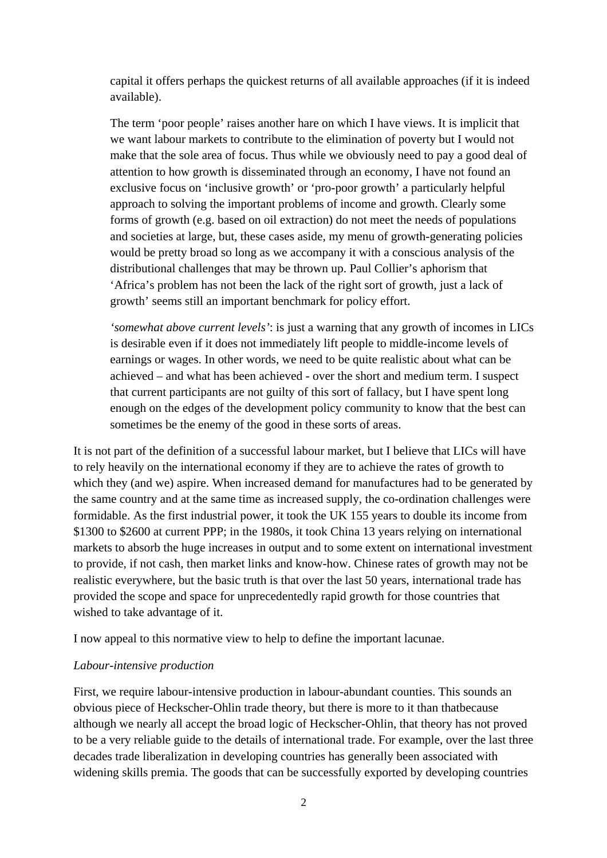capital it offers perhaps the quickest returns of all available approaches (if it is indeed available).

The term 'poor people' raises another hare on which I have views. It is implicit that we want labour markets to contribute to the elimination of poverty but I would not make that the sole area of focus. Thus while we obviously need to pay a good deal of attention to how growth is disseminated through an economy, I have not found an exclusive focus on 'inclusive growth' or 'pro-poor growth' a particularly helpful approach to solving the important problems of income and growth. Clearly some forms of growth (e.g. based on oil extraction) do not meet the needs of populations and societies at large, but, these cases aside, my menu of growth-generating policies would be pretty broad so long as we accompany it with a conscious analysis of the distributional challenges that may be thrown up. Paul Collier's aphorism that 'Africa's problem has not been the lack of the right sort of growth, just a lack of growth' seems still an important benchmark for policy effort.

*'somewhat above current levels'*: is just a warning that any growth of incomes in LICs is desirable even if it does not immediately lift people to middle-income levels of earnings or wages. In other words, we need to be quite realistic about what can be achieved – and what has been achieved - over the short and medium term. I suspect that current participants are not guilty of this sort of fallacy, but I have spent long enough on the edges of the development policy community to know that the best can sometimes be the enemy of the good in these sorts of areas.

It is not part of the definition of a successful labour market, but I believe that LICs will have to rely heavily on the international economy if they are to achieve the rates of growth to which they (and we) aspire. When increased demand for manufactures had to be generated by the same country and at the same time as increased supply, the co-ordination challenges were formidable. As the first industrial power, it took the UK 155 years to double its income from \$1300 to \$2600 at current PPP; in the 1980s, it took China 13 years relying on international markets to absorb the huge increases in output and to some extent on international investment to provide, if not cash, then market links and know-how. Chinese rates of growth may not be realistic everywhere, but the basic truth is that over the last 50 years, international trade has provided the scope and space for unprecedentedly rapid growth for those countries that wished to take advantage of it.

I now appeal to this normative view to help to define the important lacunae.

#### *Labour-intensive production*

First, we require labour-intensive production in labour-abundant counties. This sounds an obvious piece of Heckscher-Ohlin trade theory, but there is more to it than thatbecause although we nearly all accept the broad logic of Heckscher-Ohlin, that theory has not proved to be a very reliable guide to the details of international trade. For example, over the last three decades trade liberalization in developing countries has generally been associated with widening skills premia. The goods that can be successfully exported by developing countries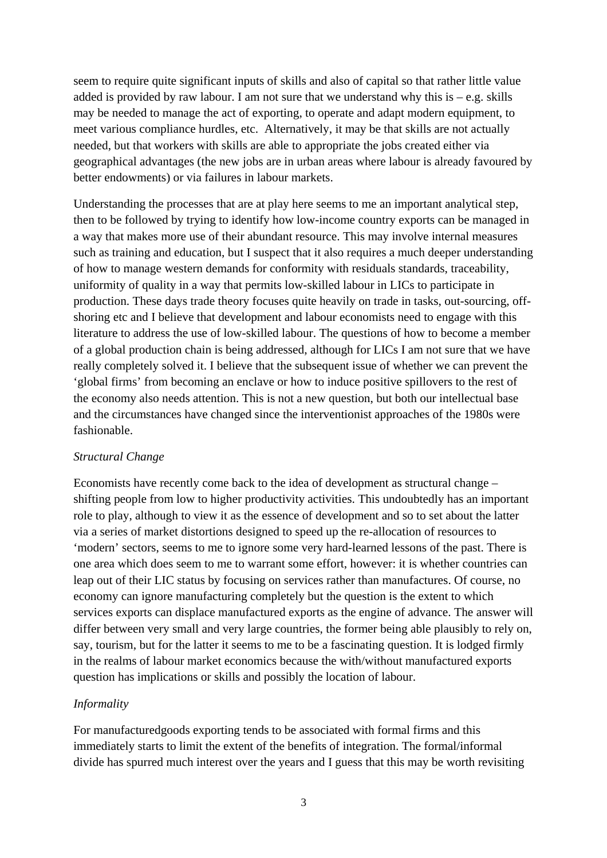seem to require quite significant inputs of skills and also of capital so that rather little value added is provided by raw labour. I am not sure that we understand why this is  $-e.g.$  skills may be needed to manage the act of exporting, to operate and adapt modern equipment, to meet various compliance hurdles, etc. Alternatively, it may be that skills are not actually needed, but that workers with skills are able to appropriate the jobs created either via geographical advantages (the new jobs are in urban areas where labour is already favoured by better endowments) or via failures in labour markets.

Understanding the processes that are at play here seems to me an important analytical step, then to be followed by trying to identify how low-income country exports can be managed in a way that makes more use of their abundant resource. This may involve internal measures such as training and education, but I suspect that it also requires a much deeper understanding of how to manage western demands for conformity with residuals standards, traceability, uniformity of quality in a way that permits low-skilled labour in LICs to participate in production. These days trade theory focuses quite heavily on trade in tasks, out-sourcing, offshoring etc and I believe that development and labour economists need to engage with this literature to address the use of low-skilled labour. The questions of how to become a member of a global production chain is being addressed, although for LICs I am not sure that we have really completely solved it. I believe that the subsequent issue of whether we can prevent the 'global firms' from becoming an enclave or how to induce positive spillovers to the rest of the economy also needs attention. This is not a new question, but both our intellectual base and the circumstances have changed since the interventionist approaches of the 1980s were fashionable.

#### *Structural Change*

Economists have recently come back to the idea of development as structural change – shifting people from low to higher productivity activities. This undoubtedly has an important role to play, although to view it as the essence of development and so to set about the latter via a series of market distortions designed to speed up the re-allocation of resources to 'modern' sectors, seems to me to ignore some very hard-learned lessons of the past. There is one area which does seem to me to warrant some effort, however: it is whether countries can leap out of their LIC status by focusing on services rather than manufactures. Of course, no economy can ignore manufacturing completely but the question is the extent to which services exports can displace manufactured exports as the engine of advance. The answer will differ between very small and very large countries, the former being able plausibly to rely on, say, tourism, but for the latter it seems to me to be a fascinating question. It is lodged firmly in the realms of labour market economics because the with/without manufactured exports question has implications or skills and possibly the location of labour.

#### *Informality*

For manufacturedgoods exporting tends to be associated with formal firms and this immediately starts to limit the extent of the benefits of integration. The formal/informal divide has spurred much interest over the years and I guess that this may be worth revisiting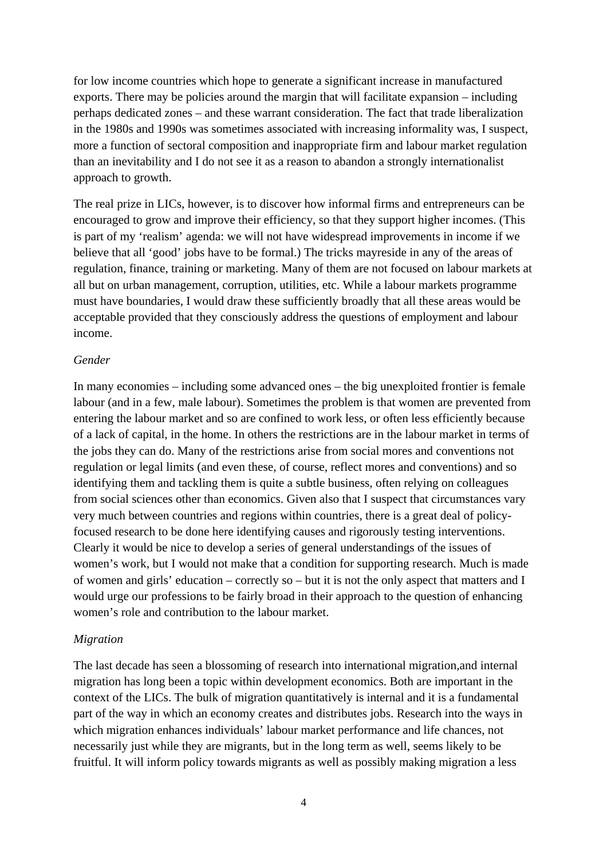for low income countries which hope to generate a significant increase in manufactured exports. There may be policies around the margin that will facilitate expansion – including perhaps dedicated zones – and these warrant consideration. The fact that trade liberalization in the 1980s and 1990s was sometimes associated with increasing informality was, I suspect, more a function of sectoral composition and inappropriate firm and labour market regulation than an inevitability and I do not see it as a reason to abandon a strongly internationalist approach to growth.

The real prize in LICs, however, is to discover how informal firms and entrepreneurs can be encouraged to grow and improve their efficiency, so that they support higher incomes. (This is part of my 'realism' agenda: we will not have widespread improvements in income if we believe that all 'good' jobs have to be formal.) The tricks mayreside in any of the areas of regulation, finance, training or marketing. Many of them are not focused on labour markets at all but on urban management, corruption, utilities, etc. While a labour markets programme must have boundaries, I would draw these sufficiently broadly that all these areas would be acceptable provided that they consciously address the questions of employment and labour income.

#### *Gender*

In many economies – including some advanced ones – the big unexploited frontier is female labour (and in a few, male labour). Sometimes the problem is that women are prevented from entering the labour market and so are confined to work less, or often less efficiently because of a lack of capital, in the home. In others the restrictions are in the labour market in terms of the jobs they can do. Many of the restrictions arise from social mores and conventions not regulation or legal limits (and even these, of course, reflect mores and conventions) and so identifying them and tackling them is quite a subtle business, often relying on colleagues from social sciences other than economics. Given also that I suspect that circumstances vary very much between countries and regions within countries, there is a great deal of policyfocused research to be done here identifying causes and rigorously testing interventions. Clearly it would be nice to develop a series of general understandings of the issues of women's work, but I would not make that a condition for supporting research. Much is made of women and girls' education – correctly so – but it is not the only aspect that matters and I would urge our professions to be fairly broad in their approach to the question of enhancing women's role and contribution to the labour market.

#### *Migration*

The last decade has seen a blossoming of research into international migration,and internal migration has long been a topic within development economics. Both are important in the context of the LICs. The bulk of migration quantitatively is internal and it is a fundamental part of the way in which an economy creates and distributes jobs. Research into the ways in which migration enhances individuals' labour market performance and life chances, not necessarily just while they are migrants, but in the long term as well, seems likely to be fruitful. It will inform policy towards migrants as well as possibly making migration a less